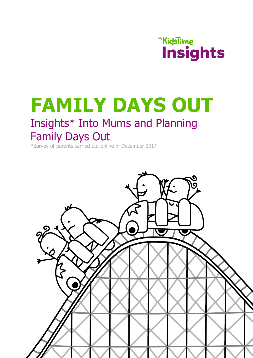## **WyKidsTime Insights**

# **FAMILY DAYS OUT**

### Insights\* Into Mums and Planning Family Days Out

\*Survey of parents carried out online in December 2017

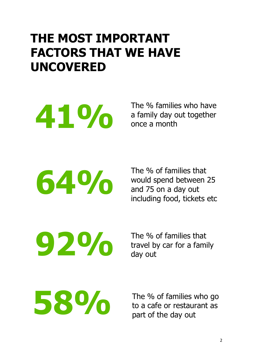## **THE MOST IMPORTANT FACTORS THAT WE HAVE UNCOVERED**

**41%**

The % families who have a family day out together once a month

**64%**

The % of families that would spend between 25 and 75 on a day out including food, tickets etc

**92%**

The % of families that travel by car for a family day out

The % of families who go<br>to a cafe or restaurant as to a cafe or restaurant as part of the day out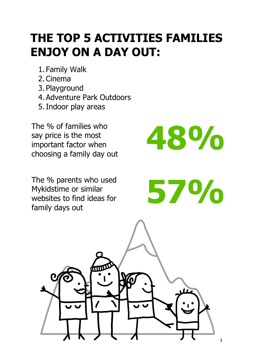## **THE TOP 5 ACTIVITIES FAMILIES ENJOY ON A DAY OUT:**

- 1. Family Walk
- 2. Cinema
- 3. Playground
- 4. Adventure Park Outdoors
- 5.Indoor play areas

The % of families who say price is the most important factor when choosing a family day out

The % parents who used Mykidstime or similar websites to find ideas for family days out

**48%**

**57%**

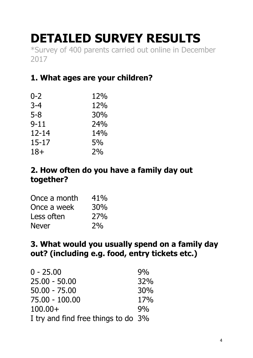## **DETAILED SURVEY RESULTS**

\*Survey of 400 parents carried out online in December 2017

#### **1. What ages are your children?**

| $0 - 2$   | 12% |
|-----------|-----|
| $3 - 4$   | 12% |
| $5 - 8$   | 30% |
| $9 - 11$  | 24% |
| $12 - 14$ | 14% |
| 15-17     | 5%  |
| $18+$     | 2%  |

#### **2. How often do you have a family day out together?**

| Once a month | 41% |
|--------------|-----|
| Once a week  | 30% |
| Less often   | 27% |
| <b>Never</b> | 2%  |

#### **3. What would you usually spend on a family day out? (including e.g. food, entry tickets etc.)**

| $0 - 25.00$                         | 9%  |
|-------------------------------------|-----|
| $25.00 - 50.00$                     | 32% |
| $50.00 - 75.00$                     | 30% |
| 75.00 - 100.00                      | 17% |
| $100.00+$                           | 9%  |
| I try and find free things to do 3% |     |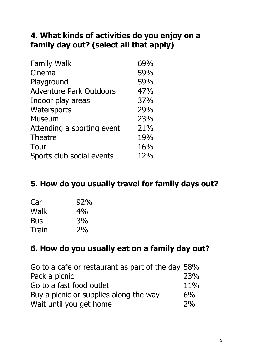#### **4. What kinds of activities do you enjoy on a family day out? (select all that apply)**

| <b>Family Walk</b>             | 69% |
|--------------------------------|-----|
| Cinema                         | 59% |
| Playground                     | 59% |
| <b>Adventure Park Outdoors</b> | 47% |
| Indoor play areas              | 37% |
| Watersports                    | 29% |
| <b>Museum</b>                  | 23% |
| Attending a sporting event     | 21% |
| <b>Theatre</b>                 | 19% |
| Tour                           | 16% |
| Sports club social events      | 12% |

#### **5. How do you usually travel for family days out?**

| Car        | 92% |
|------------|-----|
| Walk       | 4%  |
| <b>Bus</b> | 3%  |
| Train      | 2%  |

#### **6. How do you usually eat on a family day out?**

| Go to a cafe or restaurant as part of the day 58% |       |
|---------------------------------------------------|-------|
| Pack a picnic                                     | 23%   |
| Go to a fast food outlet                          | 11%   |
| Buy a picnic or supplies along the way            | $6\%$ |
| Wait until you get home                           | 2%    |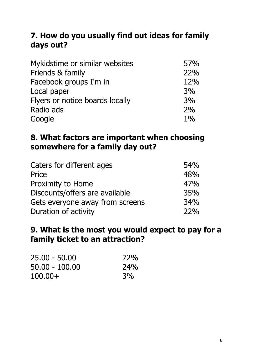#### **7. How do you usually find out ideas for family days out?**

| Mykidstime or similar websites  | 57%   |
|---------------------------------|-------|
| Friends & family                | 22%   |
| Facebook groups I'm in          | 12%   |
| Local paper                     | 3%    |
| Flyers or notice boards locally | 3%    |
| Radio ads                       | 2%    |
| Google                          | $1\%$ |

#### **8. What factors are important when choosing somewhere for a family day out?**

| Caters for different ages       | <b>54%</b> |
|---------------------------------|------------|
| Price                           | 48%        |
| Proximity to Home               | 47%        |
| Discounts/offers are available  | 35%        |
| Gets everyone away from screens | 34%        |
| Duration of activity            | 22%        |

#### **9. What is the most you would expect to pay for a family ticket to an attraction?**

| 25.00 - 50.00  | 72%        |
|----------------|------------|
| 50.00 - 100.00 | <b>24%</b> |
| $100.00+$      | 3%         |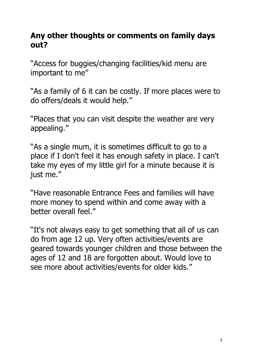#### **Any other thoughts or comments on family days out?**

"Access for buggies/changing facilities/kid menu are important to me"

"As a family of 6 it can be costly. If more places were to do offers/deals it would help."

"Places that you can visit despite the weather are very appealing."

"As a single mum, it is sometimes difficult to go to a place if I don't feel it has enough safety in place. I can't take my eyes of my little girl for a minute because it is just me."

"Have reasonable Entrance Fees and families will have more money to spend within and come away with a better overall feel."

"It's not always easy to get something that all of us can do from age 12 up. Very often activities/events are geared towards younger children and those between the ages of 12 and 18 are forgotten about. Would love to see more about activities/events for older kids."